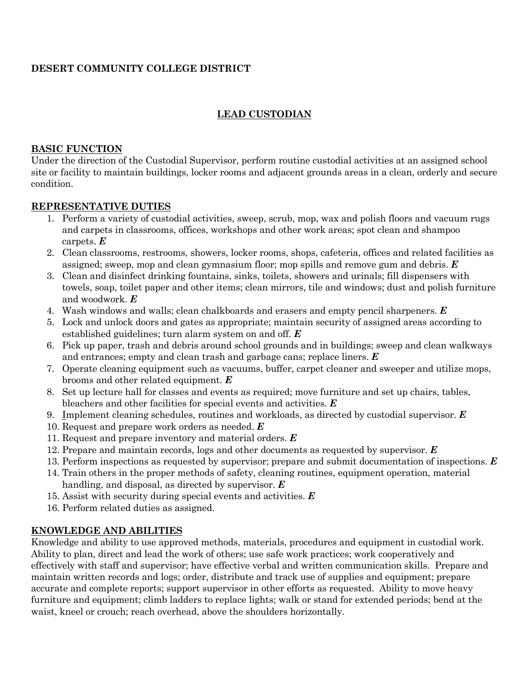# **DESERT COMMUNITY COLLEGE DISTRICT**

# **LEAD CUSTODIAN**

#### **BASIC FUNCTION**

Under the direction of the Custodial Supervisor, perform routine custodial activities at an assigned school site or facility to maintain buildings, locker rooms and adjacent grounds areas in a clean, orderly and secure condition.

### **REPRESENTATIVE DUTIES**

- 1. Perform a variety of custodial activities, sweep, scrub, mop, wax and polish floors and vacuum rugs and carpets in classrooms, offices, workshops and other work areas; spot clean and shampoo carpets. *E*
- 2. Clean classrooms, restrooms, showers, locker rooms, shops, cafeteria, offices and related facilities as assigned; sweep, mop and clean gymnasium floor; mop spills and remove gum and debris. *E*
- 3. Clean and disinfect drinking fountains, sinks, toilets, showers and urinals; fill dispensers with towels, soap, toilet paper and other items; clean mirrors, tile and windows; dust and polish furniture and woodwork. *E*
- 4. Wash windows and walls; clean chalkboards and erasers and empty pencil sharpeners. *E*
- 5. Lock and unlock doors and gates as appropriate; maintain security of assigned areas according to established guidelines; turn alarm system on and off. *E*
- 6. Pick up paper, trash and debris around school grounds and in buildings; sweep and clean walkways and entrances; empty and clean trash and garbage cans; replace liners. *E*
- 7. Operate cleaning equipment such as vacuums, buffer, carpet cleaner and sweeper and utilize mops, brooms and other related equipment. *E*
- 8. Set up lecture hall for classes and events as required; move furniture and set up chairs, tables, bleachers and other facilities for special events and activities. *E*
- 9. Implement cleaning schedules, routines and workloads, as directed by custodial supervisor. *E*
- 10. Request and prepare work orders as needed. *E*
- 11. Request and prepare inventory and material orders. *E*
- 12. Prepare and maintain records, logs and other documents as requested by supervisor. *E*
- 13. Perform inspections as requested by supervisor; prepare and submit documentation of inspections. *E*
- 14. Train others in the proper methods of safety, cleaning routines, equipment operation, material handling, and disposal, as directed by supervisor. *E*
- 15. Assist with security during special events and activities. *E*
- 16. Perform related duties as assigned.

## **KNOWLEDGE AND ABILITIES**

Knowledge and ability to use approved methods, materials, procedures and equipment in custodial work. Ability to plan, direct and lead the work of others; use safe work practices; work cooperatively and effectively with staff and supervisor; have effective verbal and written communication skills. Prepare and maintain written records and logs; order, distribute and track use of supplies and equipment; prepare accurate and complete reports; support supervisor in other efforts as requested. Ability to move heavy furniture and equipment; climb ladders to replace lights; walk or stand for extended periods; bend at the waist, kneel or crouch; reach overhead, above the shoulders horizontally.